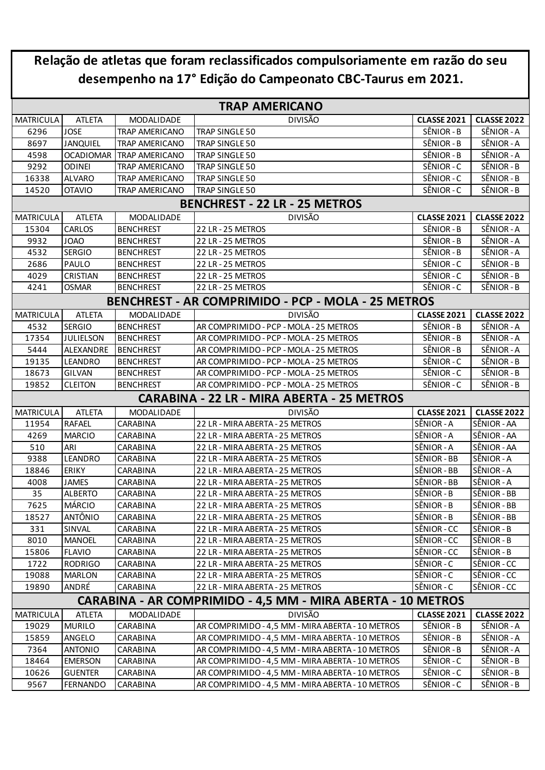| Relação de atletas que foram reclassificados compulsoriamente em razão do seu |                 |                          |                                                           |                    |                    |  |  |  |  |  |
|-------------------------------------------------------------------------------|-----------------|--------------------------|-----------------------------------------------------------|--------------------|--------------------|--|--|--|--|--|
| desempenho na 17° Edição do Campeonato CBC-Taurus em 2021.                    |                 |                          |                                                           |                    |                    |  |  |  |  |  |
| <b>TRAP AMERICANO</b>                                                         |                 |                          |                                                           |                    |                    |  |  |  |  |  |
| <b>MATRICULA</b>                                                              | <b>ATLETA</b>   | MODALIDADE               | <b>DIVISÃO</b>                                            | <b>CLASSE 2021</b> | <b>CLASSE 2022</b> |  |  |  |  |  |
| 6296                                                                          | <b>JOSE</b>     | TRAP AMERICANO           | TRAP SINGLE 50                                            | SÊNIOR - B         | SÊNIOR - A         |  |  |  |  |  |
| 8697                                                                          | <b>JANQUIEL</b> | <b>TRAP AMERICANO</b>    | TRAP SINGLE 50                                            | SÊNIOR - B         | SÊNIOR - A         |  |  |  |  |  |
| 4598                                                                          |                 | OCADIOMAR TRAP AMERICANO | TRAP SINGLE 50                                            | SÊNIOR - B         | SÊNIOR - A         |  |  |  |  |  |
| 9292                                                                          | <b>ODINEI</b>   | <b>TRAP AMERICANO</b>    | TRAP SINGLE 50                                            | SÊNIOR-C           | SÊNIOR - B         |  |  |  |  |  |
| 16338                                                                         | <b>ALVARO</b>   | TRAP AMERICANO           | TRAP SINGLE 50                                            | SÊNIOR - C         | SÊNIOR - B         |  |  |  |  |  |
| 14520                                                                         | <b>OTAVIO</b>   | TRAP AMERICANO           | TRAP SINGLE 50                                            | SÊNIOR - C         | SÊNIOR - B         |  |  |  |  |  |
|                                                                               |                 |                          | <b>BENCHREST - 22 LR - 25 METROS</b>                      |                    |                    |  |  |  |  |  |
| <b>MATRICULA</b>                                                              | <b>ATLETA</b>   | MODALIDADE               | <b>DIVISÃO</b>                                            | <b>CLASSE 2021</b> | <b>CLASSE 2022</b> |  |  |  |  |  |
| 15304                                                                         | CARLOS          | <b>BENCHREST</b>         | 22 LR-25 METROS                                           | SÊNIOR - B         | SÊNIOR - A         |  |  |  |  |  |
| 9932                                                                          | <b>JOAO</b>     | <b>BENCHREST</b>         | 22 LR-25 METROS                                           | SÊNIOR - B         | SÊNIOR - A         |  |  |  |  |  |
| 4532                                                                          | <b>SERGIO</b>   | <b>BENCHREST</b>         | 22 LR-25 METROS                                           | SÊNIOR - B         | SÊNIOR - A         |  |  |  |  |  |
| 2686                                                                          | PAULO           | <b>BENCHREST</b>         | 22 LR-25 METROS                                           | SÊNIOR-C           | SÊNIOR - B         |  |  |  |  |  |
| 4029                                                                          | CRISTIAN        | <b>BENCHREST</b>         | 22 LR-25 METROS                                           | SÊNIOR-C           | SÊNIOR - B         |  |  |  |  |  |
| 4241                                                                          | <b>OSMAR</b>    | <b>BENCHREST</b>         | 22 LR-25 METROS                                           | SÊNIOR-C           | SÊNIOR - B         |  |  |  |  |  |
|                                                                               |                 |                          | <b>BENCHREST - AR COMPRIMIDO - PCP - MOLA - 25 METROS</b> |                    |                    |  |  |  |  |  |
| <b>MATRICULA</b>                                                              | <b>ATLETA</b>   | MODALIDADE               | <b>DIVISÃO</b>                                            | <b>CLASSE 2021</b> | <b>CLASSE 2022</b> |  |  |  |  |  |
| 4532                                                                          | <b>SERGIO</b>   | <b>BENCHREST</b>         | AR COMPRIMIDO - PCP - MOLA - 25 METROS                    | SÊNIOR - B         | SÊNIOR - A         |  |  |  |  |  |
| 17354                                                                         | JULIELSON       | <b>BENCHREST</b>         | AR COMPRIMIDO - PCP - MOLA - 25 METROS                    | SÊNIOR - B         | SÊNIOR - A         |  |  |  |  |  |
| 5444                                                                          | ALEXANDRE       | <b>BENCHREST</b>         | AR COMPRIMIDO - PCP - MOLA - 25 METROS                    | SÊNIOR - B         | SÊNIOR - A         |  |  |  |  |  |
| 19135                                                                         | LEANDRO         | <b>BENCHREST</b>         | AR COMPRIMIDO - PCP - MOLA - 25 METROS                    | SÊNIOR - C         | SÊNIOR - B         |  |  |  |  |  |
| 18673                                                                         | GILVAN          | <b>BENCHREST</b>         | AR COMPRIMIDO - PCP - MOLA - 25 METROS                    | SÊNIOR - C         | SÊNIOR - B         |  |  |  |  |  |
| 19852                                                                         | <b>CLEITON</b>  | <b>BENCHREST</b>         | AR COMPRIMIDO - PCP - MOLA - 25 METROS                    | SÊNIOR - C         | SÊNIOR - B         |  |  |  |  |  |
|                                                                               |                 |                          | CARABINA - 22 LR - MIRA ABERTA - 25 METROS                |                    |                    |  |  |  |  |  |
| <b>MATRICULA</b>                                                              | <b>ATLETA</b>   | MODALIDADE               | <b>DIVISÃO</b>                                            | <b>CLASSE 2021</b> | <b>CLASSE 2022</b> |  |  |  |  |  |
| 11954                                                                         | <b>RAFAEL</b>   | CARABINA                 | 22 LR - MIRA ABERTA - 25 METROS                           | SÊNIOR - A         | SÊNIOR - AA        |  |  |  |  |  |
| 4269                                                                          | <b>MARCIO</b>   | CARABINA                 | 22 LR - MIRA ABERTA - 25 METROS                           | SÊNIOR - A         | SÊNIOR - AA        |  |  |  |  |  |
| 510                                                                           | ARI             | CARABINA                 | 22 LR - MIRA ABERTA - 25 METROS                           | SÊNIOR - A         | SÊNIOR - AA        |  |  |  |  |  |
| 9388                                                                          | LEANDRO         | CARABINA                 | 22 LR - MIRA ABERTA - 25 METROS                           | SÊNIOR - BB        | SÊNIOR - A         |  |  |  |  |  |
| 18846                                                                         | ERIKY           | CARABINA                 | 22 LR - MIRA ABERTA - 25 METROS                           | SÊNIOR - BB        | SÊNIOR - A         |  |  |  |  |  |
| 4008                                                                          | <b>JAMES</b>    | CARABINA                 | 22 LR - MIRA ABERTA - 25 METROS                           | SÊNIOR - BB        | SÊNIOR - A         |  |  |  |  |  |
| 35                                                                            | <b>ALBERTO</b>  | CARABINA                 | 22 LR - MIRA ABERTA - 25 METROS                           | SÊNIOR - B         | SÊNIOR - BB        |  |  |  |  |  |
| 7625                                                                          | <b>MÁRCIO</b>   | CARABINA                 | 22 LR - MIRA ABERTA - 25 METROS                           | SÊNIOR - B         | SÊNIOR - BB        |  |  |  |  |  |
| 18527                                                                         | ANTÔNIO         | CARABINA                 | 22 LR - MIRA ABERTA - 25 METROS                           | SÊNIOR - B         | SÊNIOR - BB        |  |  |  |  |  |
| 331                                                                           | SINVAL          | CARABINA                 | 22 LR - MIRA ABERTA - 25 METROS                           | SÊNIOR - CC        | SÊNIOR - B         |  |  |  |  |  |
| 8010                                                                          | <b>MANOEL</b>   | CARABINA                 | 22 LR - MIRA ABERTA - 25 METROS                           | SÊNIOR - CC        | SÊNIOR - B         |  |  |  |  |  |
| 15806                                                                         | <b>FLAVIO</b>   | CARABINA                 | 22 LR - MIRA ABERTA - 25 METROS                           | SÊNIOR - CC        | SÊNIOR - B         |  |  |  |  |  |
| 1722                                                                          | <b>RODRIGO</b>  | CARABINA                 | 22 LR - MIRA ABERTA - 25 METROS                           | SÊNIOR - C         | SÊNIOR - CC        |  |  |  |  |  |
| 19088                                                                         | <b>MARLON</b>   | CARABINA                 | 22 LR - MIRA ABERTA - 25 METROS                           | SÊNIOR - C         | SÊNIOR - CC        |  |  |  |  |  |
| 19890                                                                         | ANDRÉ           | CARABINA                 | 22 LR - MIRA ABERTA - 25 METROS                           | SÊNIOR - C         | SÊNIOR - CC        |  |  |  |  |  |
| CARABINA - AR COMPRIMIDO - 4,5 MM - MIRA ABERTA - 10 METROS                   |                 |                          |                                                           |                    |                    |  |  |  |  |  |
| <b>MATRICULA</b>                                                              | <b>ATLETA</b>   | MODALIDADE               | <b>DIVISÃO</b>                                            | <b>CLASSE 2021</b> | <b>CLASSE 2022</b> |  |  |  |  |  |
| 19029                                                                         | <b>MURILO</b>   | CARABINA                 | AR COMPRIMIDO - 4,5 MM - MIRA ABERTA - 10 METROS          | SÊNIOR - B         | SÊNIOR - A         |  |  |  |  |  |
| 15859                                                                         | ANGELO          | CARABINA                 | AR COMPRIMIDO - 4,5 MM - MIRA ABERTA - 10 METROS          | SÊNIOR - B         | SÊNIOR - A         |  |  |  |  |  |
| 7364                                                                          | <b>ANTONIO</b>  | CARABINA                 | AR COMPRIMIDO - 4,5 MM - MIRA ABERTA - 10 METROS          | SÊNIOR - B         | SÊNIOR - A         |  |  |  |  |  |
| 18464                                                                         | <b>EMERSON</b>  | CARABINA                 | AR COMPRIMIDO - 4,5 MM - MIRA ABERTA - 10 METROS          | SËNIOR - C         | SËNIOR - B         |  |  |  |  |  |
| 10626                                                                         | <b>GUENTER</b>  | CARABINA                 | AR COMPRIMIDO - 4,5 MM - MIRA ABERTA - 10 METROS          | SÊNIOR - C         | SÊNIOR - B         |  |  |  |  |  |
| 9567                                                                          | FERNANDO        | <b>CARABINA</b>          | AR COMPRIMIDO - 4,5 MM - MIRA ABERTA - 10 METROS          | SÊNIOR - C         | SÊNIOR - B         |  |  |  |  |  |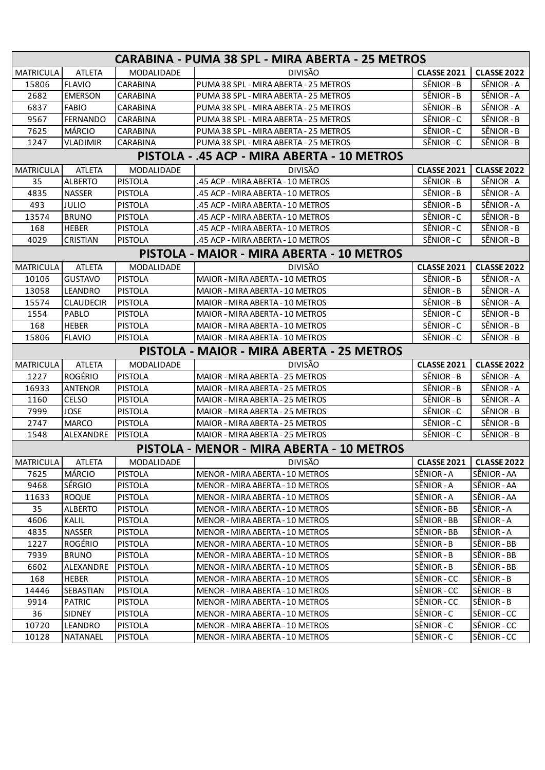| CARABINA - PUMA 38 SPL - MIRA ABERTA - 25 METROS |                  |                   |                                             |                           |                    |  |  |
|--------------------------------------------------|------------------|-------------------|---------------------------------------------|---------------------------|--------------------|--|--|
| <b>MATRICULA</b>                                 | <b>ATLETA</b>    | <b>MODALIDADE</b> | <b>DIVISÃO</b>                              | <b>CLASSE 2021</b>        | <b>CLASSE 2022</b> |  |  |
| 15806                                            | <b>FLAVIO</b>    | CARABINA          | PUMA 38 SPL - MIRA ABERTA - 25 METROS       | SÊNIOR - B                | SÊNIOR - A         |  |  |
| 2682                                             | <b>EMERSON</b>   | CARABINA          | PUMA 38 SPL - MIRA ABERTA - 25 METROS       | SÊNIOR - B                | SÊNIOR - A         |  |  |
| 6837                                             | <b>FABIO</b>     | CARABINA          | PUMA 38 SPL - MIRA ABERTA - 25 METROS       | SÊNIOR - B                | SÊNIOR - A         |  |  |
| 9567                                             | <b>FERNANDO</b>  | CARABINA          | PUMA 38 SPL - MIRA ABERTA - 25 METROS       | SÊNIOR - C                | SÊNIOR - B         |  |  |
| 7625                                             | <b>MÁRCIO</b>    | CARABINA          | PUMA 38 SPL - MIRA ABERTA - 25 METROS       | SÊNIOR - C                | SÊNIOR - B         |  |  |
| 1247                                             | <b>VLADIMIR</b>  | CARABINA          | PUMA 38 SPL - MIRA ABERTA - 25 METROS       | SÊNIOR - C                | SÊNIOR - B         |  |  |
|                                                  |                  |                   | PISTOLA - .45 ACP - MIRA ABERTA - 10 METROS |                           |                    |  |  |
| <b>MATRICULA</b>                                 | <b>ATLETA</b>    | MODALIDADE        | <b>DIVISÃO</b>                              | <b>CLASSE 2021</b>        | <b>CLASSE 2022</b> |  |  |
| 35                                               | <b>ALBERTO</b>   | <b>PISTOLA</b>    | .45 ACP - MIRA ABERTA - 10 METROS           | SÊNIOR - B                | SÊNIOR - A         |  |  |
| 4835                                             | <b>NASSER</b>    | <b>PISTOLA</b>    | .45 ACP - MIRA ABERTA - 10 METROS           | SÊNIOR - B                | SÊNIOR - A         |  |  |
| 493                                              | <b>JULIO</b>     | <b>PISTOLA</b>    | .45 ACP - MIRA ABERTA - 10 METROS           | SÊNIOR - B                | SÊNIOR - A         |  |  |
| 13574                                            | <b>BRUNO</b>     | <b>PISTOLA</b>    | .45 ACP - MIRA ABERTA - 10 METROS           | SÊNIOR - C                | SÊNIOR - B         |  |  |
| 168                                              | <b>HEBER</b>     | <b>PISTOLA</b>    | .45 ACP - MIRA ABERTA - 10 METROS           | SÊNIOR - C                | SÊNIOR - B         |  |  |
| 4029                                             | <b>CRISTIAN</b>  | <b>PISTOLA</b>    | .45 ACP - MIRA ABERTA - 10 METROS           | SÊNIOR - C                | SÊNIOR - B         |  |  |
|                                                  |                  |                   | PISTOLA - MAIOR - MIRA ABERTA - 10 METROS   |                           |                    |  |  |
| <b>MATRICULA</b>                                 | <b>ATLETA</b>    | MODALIDADE        | <b>DIVISÃO</b>                              | <b>CLASSE 2021</b>        | <b>CLASSE 2022</b> |  |  |
| 10106                                            | <b>GUSTAVO</b>   | <b>PISTOLA</b>    | MAIOR - MIRA ABERTA - 10 METROS             | SÊNIOR - B                | SÊNIOR - A         |  |  |
| 13058                                            | LEANDRO          | <b>PISTOLA</b>    | MAIOR - MIRA ABERTA - 10 METROS             | SÊNIOR - B                | SÊNIOR - A         |  |  |
| 15574                                            | <b>CLAUDECIR</b> | <b>PISTOLA</b>    | MAIOR - MIRA ABERTA - 10 METROS             | SÊNIOR - B                | SÊNIOR - A         |  |  |
| 1554                                             | PABLO            | <b>PISTOLA</b>    | MAIOR - MIRA ABERTA - 10 METROS             | SÊNIOR-C                  | SÊNIOR - B         |  |  |
| 168                                              | <b>HEBER</b>     | <b>PISTOLA</b>    | MAIOR - MIRA ABERTA - 10 METROS             | SÊNIOR - C                | SÊNIOR - B         |  |  |
| 15806                                            | <b>FLAVIO</b>    | <b>PISTOLA</b>    | MAIOR - MIRA ABERTA - 10 METROS             | SÊNIOR - C                | SÊNIOR - B         |  |  |
|                                                  |                  |                   | PISTOLA - MAIOR - MIRA ABERTA - 25 METROS   |                           |                    |  |  |
| <b>MATRICULA</b>                                 | <b>ATLETA</b>    | MODALIDADE        | <b>DIVISÃO</b>                              | <b>CLASSE 2021</b>        | <b>CLASSE 2022</b> |  |  |
| 1227                                             | <b>ROGÉRIO</b>   | <b>PISTOLA</b>    | MAIOR - MIRA ABERTA - 25 METROS             | SÊNIOR - B                | SÊNIOR - A         |  |  |
| 16933                                            | <b>ANTENOR</b>   | <b>PISTOLA</b>    | MAIOR - MIRA ABERTA - 25 METROS             | SÊNIOR - B                | SÊNIOR - A         |  |  |
| 1160                                             | CELSO            | <b>PISTOLA</b>    | MAIOR - MIRA ABERTA - 25 METROS             | SÊNIOR - B                | SÊNIOR - A         |  |  |
| 7999                                             | <b>JOSE</b>      | <b>PISTOLA</b>    | MAIOR - MIRA ABERTA - 25 METROS             | SÊNIOR-C                  | SÊNIOR - B         |  |  |
| 2747                                             | <b>MARCO</b>     | <b>PISTOLA</b>    | MAIOR - MIRA ABERTA - 25 METROS             | SÊNIOR-C                  | SÊNIOR - B         |  |  |
| 1548                                             | ALEXANDRE        | <b>PISTOLA</b>    | MAIOR - MIRA ABERTA - 25 METROS             | SÊNIOR-C                  | SÊNIOR - B         |  |  |
|                                                  |                  |                   | PISTOLA - MENOR - MIRA ABERTA - 10 METROS   |                           |                    |  |  |
| <b>MATRICULA</b>                                 | <b>ATLETA</b>    | MODALIDADE        | DIVISÃO                                     | CLASSE 2021   CLASSE 2022 |                    |  |  |
| 7625                                             | <b>MÁRCIO</b>    | <b>PISTOLA</b>    | MENOR - MIRA ABERTA - 10 METROS             | SÊNIOR - A                | SÊNIOR - AA        |  |  |
| 9468                                             | SÉRGIO           | <b>PISTOLA</b>    | MENOR - MIRA ABERTA - 10 METROS             | SÊNIOR - A                | SÊNIOR - AA        |  |  |
| 11633                                            | <b>ROQUE</b>     | <b>PISTOLA</b>    | MENOR - MIRA ABERTA - 10 METROS             | SÊNIOR - A                | SÊNIOR - AA        |  |  |
| 35                                               | <b>ALBERTO</b>   | <b>PISTOLA</b>    | MENOR - MIRA ABERTA - 10 METROS             | SÊNIOR - BB               | SÊNIOR - A         |  |  |
| 4606                                             | KALIL            | <b>PISTOLA</b>    | MENOR - MIRA ABERTA - 10 METROS             | SÊNIOR - BB               | SÊNIOR - A         |  |  |
| 4835                                             | <b>NASSER</b>    | <b>PISTOLA</b>    | MENOR - MIRA ABERTA - 10 METROS             | SÊNIOR - BB               | SÊNIOR - A         |  |  |
| 1227                                             | ROGÉRIO          | <b>PISTOLA</b>    | MENOR - MIRA ABERTA - 10 METROS             | SÊNIOR - B                | SÊNIOR - BB        |  |  |
| 7939                                             | <b>BRUNO</b>     | <b>PISTOLA</b>    | MENOR - MIRA ABERTA - 10 METROS             | SÊNIOR - B                | SÊNIOR - BB        |  |  |
| 6602                                             | ALEXANDRE        | <b>PISTOLA</b>    | MENOR - MIRA ABERTA - 10 METROS             | SÊNIOR - B                | SÊNIOR - BB        |  |  |
| 168                                              | <b>HEBER</b>     | <b>PISTOLA</b>    | MENOR - MIRA ABERTA - 10 METROS             | SÊNIOR - CC               | SÊNIOR - B         |  |  |
| 14446                                            | SEBASTIAN        | <b>PISTOLA</b>    | MENOR - MIRA ABERTA - 10 METROS             | SÊNIOR - CC               | SÊNIOR - B         |  |  |
| 9914                                             | <b>PATRIC</b>    | <b>PISTOLA</b>    | MENOR - MIRA ABERTA - 10 METROS             | SÊNIOR - CC               | SÊNIOR - B         |  |  |
| 36                                               | <b>SIDNEY</b>    | <b>PISTOLA</b>    | MENOR - MIRA ABERTA - 10 METROS             | SÊNIOR - C                | SÊNIOR-CC          |  |  |
| 10720                                            | LEANDRO          | <b>PISTOLA</b>    | MENOR - MIRA ABERTA - 10 METROS             | SÊNIOR - C                | SÊNIOR - CC        |  |  |
| 10128                                            | <b>NATANAEL</b>  | <b>PISTOLA</b>    | MENOR - MIRA ABERTA - 10 METROS             | SÊNIOR - C                | SÊNIOR - CC        |  |  |
|                                                  |                  |                   |                                             |                           |                    |  |  |